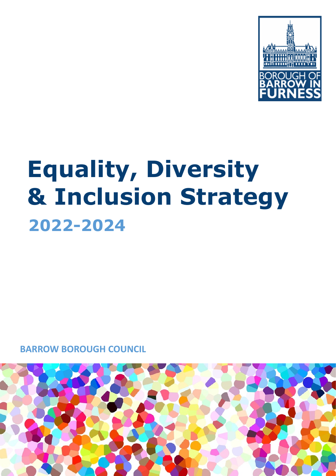

# **Equality, Diversity & Inclusion Strategy 2022-2024**

**BARROW BOROUGH COUNCIL**

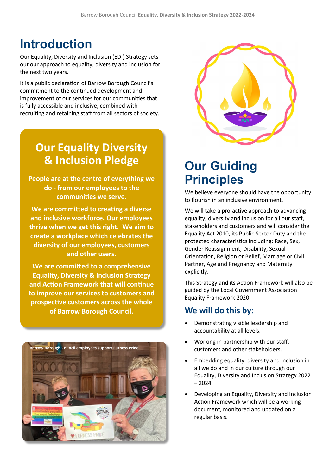## **Introduction**

Our Equality, Diversity and Inclusion (EDI) Strategy sets out our approach to equality, diversity and inclusion for the next two years.

It is a public declaration of Barrow Borough Council's commitment to the continued development and improvement of our services for our communities that is fully accessible and inclusive, combined with recruiting and retaining staff from all sectors of society.

## **Our Equality Diversity & Inclusion Pledge**

**People are at the centre of everything we do - from our employees to the communities we serve.**

**We are committed to creating a diverse and inclusive workforce. Our employees thrive when we get this right. We aim to create a workplace which celebrates the diversity of our employees, customers and other users.**

**We are committed to a comprehensive Equality, Diversity & Inclusion Strategy and Action Framework that will continue to improve our services to customers and prospective customers across the whole of Barrow Borough Council.**





# **Our Guiding Principles**

We believe everyone should have the opportunity to flourish in an inclusive environment.

We will take a pro-active approach to advancing equality, diversity and inclusion for all our staff, stakeholders and customers and will consider the Equality Act 2010, its Public Sector Duty and the protected characteristics including: Race, Sex, Gender Reassignment, Disability, Sexual Orientation, Religion or Belief, Marriage or Civil Partner, Age and Pregnancy and Maternity explicitly.

This Strategy and its Action Framework will also be guided by the Local Government Association Equality Framework 2020.

#### **We will do this by:**

- Demonstrating visible leadership and accountability at all levels.
- Working in partnership with our staff, customers and other stakeholders.
- Embedding equality, diversity and inclusion in all we do and in our culture through our Equality, Diversity and Inclusion Strategy 2022  $-2024.$
- Developing an Equality, Diversity and Inclusion Action Framework which will be a working document, monitored and updated on a regular basis.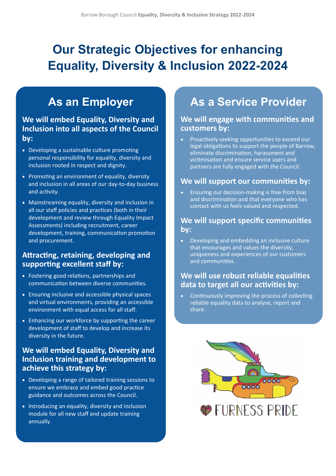# **Our Strategic Objectives for enhancing Equality, Diversity & Inclusion 2022-2024**

## **As an Employer**

#### **We will embed Equality, Diversity and Inclusion into all aspects of the Council by:**

- Developing a sustainable culture promoting personal responsibility for equality, diversity and inclusion rooted in respect and dignity.
- Promoting an environment of equality, diversity and inclusion in all areas of our day-to-day business and activity.
- Mainstreaming equality, diversity and inclusion in all our staff policies and practices (both in their development and review through Equality Impact Assessments) including recruitment, career development, training, communication promotion and procurement.

#### **Attracting, retaining, developing and supporting excellent staff by:**

- Fostering good relations, partnerships and communication between diverse communities.
- Ensuring inclusive and accessible physical spaces and virtual environments, providing an accessible environment with equal access for all staff.
- Enhancing our workforce by supporting the career development of staff to develop and increase its diversity in the future.

#### **We will embed Equality, Diversity and Inclusion training and development to achieve this strategy by:**

- Developing a range of tailored training sessions to ensure we embrace and embed good practice guidance and outcomes across the Council.
- Introducing an equality, diversity and inclusion module for all new staff and update training annually.

### **As a Service Provider**

#### **We will engage with communities and customers by:**

• Proactively seeking opportunities to exceed our legal obligations to support the people of Barrow, eliminate discrimination, harassment and victimisation and ensure service users and partners are fully engaged with the Council.

#### **We will support our communities by:**

• Ensuring our decision-making is free from bias and discrimination and that everyone who has contact with us feels valued and respected.

#### **We will support specific communities by:**

• Developing and embedding an inclusive culture that encourages and values the diversity, uniqueness and experiences of our customers and communities.

#### **We will use robust reliable equalities data to target all our activities by:**

• Continuously improving the process of collecting reliable equality data to analyse, report and share.